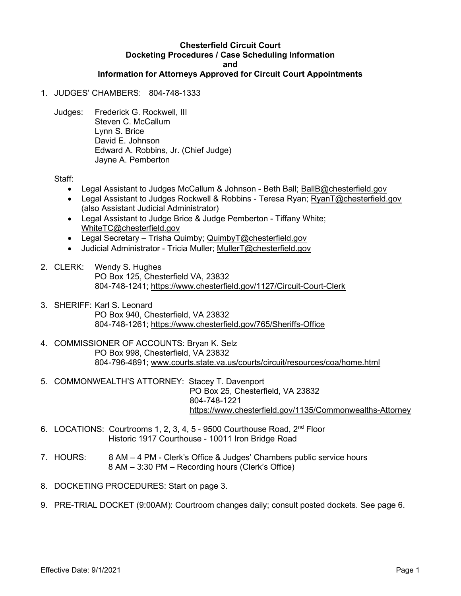#### Chesterfield Circuit Court Docketing Procedures / Case Scheduling Information and Information for Attorneys Approved for Circuit Court Appointments

# 1. JUDGES' CHAMBERS: 804-748-1333

Judges: Frederick G. Rockwell, III Steven C. McCallum Lynn S. Brice David E. Johnson Edward A. Robbins, Jr. (Chief Judge) Jayne A. Pemberton

Staff:

- Legal Assistant to Judges McCallum & Johnson Beth Ball; BallB@chesterfield.gov
- Legal Assistant to Judges Rockwell & Robbins Teresa Ryan; RyanT@chesterfield.gov (also Assistant Judicial Administrator)
- Legal Assistant to Judge Brice & Judge Pemberton Tiffany White; WhiteTC@chesterfield.gov
- Legal Secretary Trisha Quimby; QuimbyT@chesterfield.gov
- Judicial Administrator Tricia Muller; MullerT@chesterfield.gov
- 2. CLERK: Wendy S. Hughes PO Box 125, Chesterfield VA, 23832 804-748-1241; https://www.chesterfield.gov/1127/Circuit-Court-Clerk
- 3. SHERIFF: Karl S. Leonard PO Box 940, Chesterfield, VA 23832 804-748-1261; https://www.chesterfield.gov/765/Sheriffs-Office
- 4. COMMISSIONER OF ACCOUNTS: Bryan K. Selz PO Box 998, Chesterfield, VA 23832 804-796-4891; www.courts.state.va.us/courts/circuit/resources/coa/home.html
- 5. COMMONWEALTH'S ATTORNEY: Stacey T. Davenport PO Box 25, Chesterfield, VA 23832 804-748-1221 https://www.chesterfield.gov/1135/Commonwealths-Attorney
- 6. LOCATIONS: Courtrooms 1, 2, 3, 4, 5 9500 Courthouse Road,  $2<sup>nd</sup>$  Floor Historic 1917 Courthouse - 10011 Iron Bridge Road
- 7. HOURS: 8 AM 4 PM Clerk's Office & Judges' Chambers public service hours 8 AM – 3:30 PM – Recording hours (Clerk's Office)
- 8. DOCKETING PROCEDURES: Start on page 3.
- 9. PRE-TRIAL DOCKET (9:00AM): Courtroom changes daily; consult posted dockets. See page 6.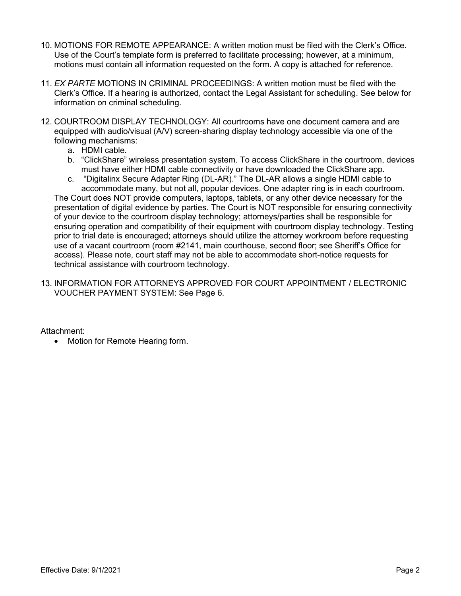- 10. MOTIONS FOR REMOTE APPEARANCE: A written motion must be filed with the Clerk's Office. Use of the Court's template form is preferred to facilitate processing; however, at a minimum, motions must contain all information requested on the form. A copy is attached for reference.
- 11. EX PARTE MOTIONS IN CRIMINAL PROCEEDINGS: A written motion must be filed with the Clerk's Office. If a hearing is authorized, contact the Legal Assistant for scheduling. See below for information on criminal scheduling.
- 12. COURTROOM DISPLAY TECHNOLOGY: All courtrooms have one document camera and are equipped with audio/visual (A/V) screen-sharing display technology accessible via one of the following mechanisms:
	- a. HDMI cable.
	- b. "ClickShare" wireless presentation system. To access ClickShare in the courtroom, devices must have either HDMI cable connectivity or have downloaded the ClickShare app.
	- c. "Digitalinx Secure Adapter Ring (DL-AR)." The DL-AR allows a single HDMI cable to accommodate many, but not all, popular devices. One adapter ring is in each courtroom.

The Court does NOT provide computers, laptops, tablets, or any other device necessary for the presentation of digital evidence by parties. The Court is NOT responsible for ensuring connectivity of your device to the courtroom display technology; attorneys/parties shall be responsible for ensuring operation and compatibility of their equipment with courtroom display technology. Testing prior to trial date is encouraged; attorneys should utilize the attorney workroom before requesting use of a vacant courtroom (room #2141, main courthouse, second floor; see Sheriff's Office for access). Please note, court staff may not be able to accommodate short-notice requests for technical assistance with courtroom technology.

13. INFORMATION FOR ATTORNEYS APPROVED FOR COURT APPOINTMENT / ELECTRONIC VOUCHER PAYMENT SYSTEM: See Page 6.

Attachment:

• Motion for Remote Hearing form.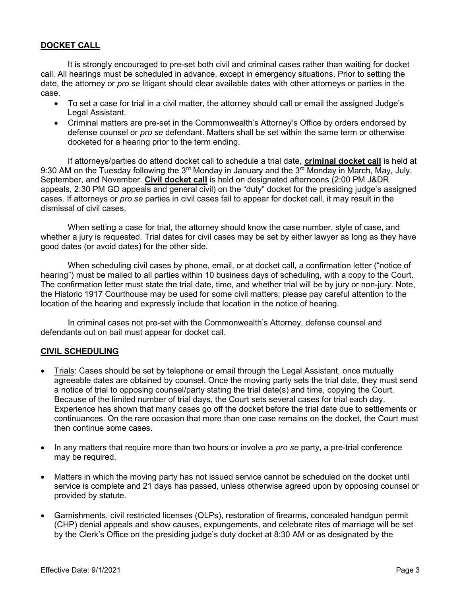# DOCKET CALL

It is strongly encouraged to pre-set both civil and criminal cases rather than waiting for docket call. All hearings must be scheduled in advance, except in emergency situations. Prior to setting the date, the attorney or *pro se* litigant should clear available dates with other attorneys or parties in the case.

- To set a case for trial in a civil matter, the attorney should call or email the assigned Judge's Legal Assistant.
- Criminal matters are pre-set in the Commonwealth's Attorney's Office by orders endorsed by defense counsel or *pro se* defendant. Matters shall be set within the same term or otherwise docketed for a hearing prior to the term ending.

If attorneys/parties do attend docket call to schedule a trial date, criminal docket call is held at 9:30 AM on the Tuesday following the 3<sup>rd</sup> Monday in January and the 3<sup>rd</sup> Monday in March, May, July, September, and November. Civil docket call is held on designated afternoons (2:00 PM J&DR appeals, 2:30 PM GD appeals and general civil) on the "duty" docket for the presiding judge's assigned cases. If attorneys or pro se parties in civil cases fail to appear for docket call, it may result in the dismissal of civil cases.

 When setting a case for trial, the attorney should know the case number, style of case, and whether a jury is requested. Trial dates for civil cases may be set by either lawyer as long as they have good dates (or avoid dates) for the other side.

 When scheduling civil cases by phone, email, or at docket call, a confirmation letter ("notice of hearing") must be mailed to all parties within 10 business days of scheduling, with a copy to the Court. The confirmation letter must state the trial date, time, and whether trial will be by jury or non-jury. Note, the Historic 1917 Courthouse may be used for some civil matters; please pay careful attention to the location of the hearing and expressly include that location in the notice of hearing.

 In criminal cases not pre-set with the Commonwealth's Attorney, defense counsel and defendants out on bail must appear for docket call.

## CIVIL SCHEDULING

- Trials: Cases should be set by telephone or email through the Legal Assistant, once mutually agreeable dates are obtained by counsel. Once the moving party sets the trial date, they must send a notice of trial to opposing counsel/party stating the trial date(s) and time, copying the Court. Because of the limited number of trial days, the Court sets several cases for trial each day. Experience has shown that many cases go off the docket before the trial date due to settlements or continuances. On the rare occasion that more than one case remains on the docket, the Court must then continue some cases.
- $\bullet$  In any matters that require more than two hours or involve a *pro se* party, a pre-trial conference may be required.
- Matters in which the moving party has not issued service cannot be scheduled on the docket until service is complete and 21 days has passed, unless otherwise agreed upon by opposing counsel or provided by statute.
- Garnishments, civil restricted licenses (OLPs), restoration of firearms, concealed handgun permit (CHP) denial appeals and show causes, expungements, and celebrate rites of marriage will be set by the Clerk's Office on the presiding judge's duty docket at 8:30 AM or as designated by the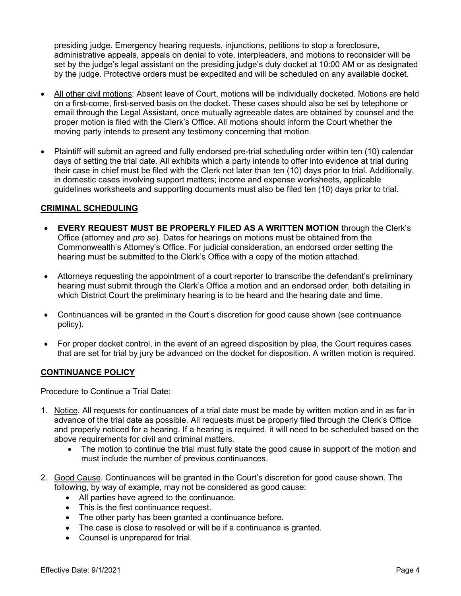presiding judge. Emergency hearing requests, injunctions, petitions to stop a foreclosure, administrative appeals, appeals on denial to vote, interpleaders, and motions to reconsider will be set by the judge's legal assistant on the presiding judge's duty docket at 10:00 AM or as designated by the judge. Protective orders must be expedited and will be scheduled on any available docket.

- All other civil motions: Absent leave of Court, motions will be individually docketed. Motions are held on a first-come, first-served basis on the docket. These cases should also be set by telephone or email through the Legal Assistant, once mutually agreeable dates are obtained by counsel and the proper motion is filed with the Clerk's Office. All motions should inform the Court whether the moving party intends to present any testimony concerning that motion.
- Plaintiff will submit an agreed and fully endorsed pre-trial scheduling order within ten (10) calendar days of setting the trial date. All exhibits which a party intends to offer into evidence at trial during their case in chief must be filed with the Clerk not later than ten (10) days prior to trial. Additionally, in domestic cases involving support matters; income and expense worksheets, applicable guidelines worksheets and supporting documents must also be filed ten (10) days prior to trial.

## CRIMINAL SCHEDULING

- EVERY REQUEST MUST BE PROPERLY FILED AS A WRITTEN MOTION through the Clerk's Office (attorney and pro se). Dates for hearings on motions must be obtained from the Commonwealth's Attorney's Office. For judicial consideration, an endorsed order setting the hearing must be submitted to the Clerk's Office with a copy of the motion attached.
- Attorneys requesting the appointment of a court reporter to transcribe the defendant's preliminary hearing must submit through the Clerk's Office a motion and an endorsed order, both detailing in which District Court the preliminary hearing is to be heard and the hearing date and time.
- Continuances will be granted in the Court's discretion for good cause shown (see continuance policy).
- For proper docket control, in the event of an agreed disposition by plea, the Court requires cases that are set for trial by jury be advanced on the docket for disposition. A written motion is required.

## CONTINUANCE POLICY

Procedure to Continue a Trial Date:

- 1. Notice. All requests for continuances of a trial date must be made by written motion and in as far in advance of the trial date as possible. All requests must be properly filed through the Clerk's Office and properly noticed for a hearing. If a hearing is required, it will need to be scheduled based on the above requirements for civil and criminal matters.
	- The motion to continue the trial must fully state the good cause in support of the motion and must include the number of previous continuances.
- 2. Good Cause. Continuances will be granted in the Court's discretion for good cause shown. The following, by way of example, may not be considered as good cause:
	- All parties have agreed to the continuance.
	- This is the first continuance request.
	- The other party has been granted a continuance before.
	- The case is close to resolved or will be if a continuance is granted.
	- Counsel is unprepared for trial.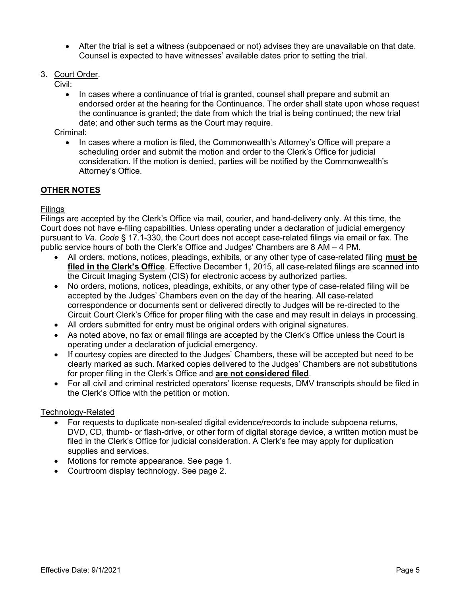- After the trial is set a witness (subpoenaed or not) advises they are unavailable on that date. Counsel is expected to have witnesses' available dates prior to setting the trial.
- 3. Court Order.
	- Civil:
		- In cases where a continuance of trial is granted, counsel shall prepare and submit an endorsed order at the hearing for the Continuance. The order shall state upon whose request the continuance is granted; the date from which the trial is being continued; the new trial date; and other such terms as the Court may require.

Criminal:

 In cases where a motion is filed, the Commonwealth's Attorney's Office will prepare a scheduling order and submit the motion and order to the Clerk's Office for judicial consideration. If the motion is denied, parties will be notified by the Commonwealth's Attorney's Office.

## OTHER NOTES

#### Filings

Filings are accepted by the Clerk's Office via mail, courier, and hand-delivery only. At this time, the Court does not have e-filing capabilities. Unless operating under a declaration of judicial emergency pursuant to Va. Code § 17.1-330, the Court does not accept case-related filings via email or fax. The public service hours of both the Clerk's Office and Judges' Chambers are 8 AM – 4 PM.

- All orders, motions, notices, pleadings, exhibits, or any other type of case-related filing must be filed in the Clerk's Office. Effective December 1, 2015, all case-related filings are scanned into the Circuit Imaging System (CIS) for electronic access by authorized parties.
- No orders, motions, notices, pleadings, exhibits, or any other type of case-related filing will be accepted by the Judges' Chambers even on the day of the hearing. All case-related correspondence or documents sent or delivered directly to Judges will be re-directed to the Circuit Court Clerk's Office for proper filing with the case and may result in delays in processing.
- All orders submitted for entry must be original orders with original signatures.
- As noted above, no fax or email filings are accepted by the Clerk's Office unless the Court is operating under a declaration of judicial emergency.
- If courtesy copies are directed to the Judges' Chambers, these will be accepted but need to be clearly marked as such. Marked copies delivered to the Judges' Chambers are not substitutions for proper filing in the Clerk's Office and are not considered filed.
- For all civil and criminal restricted operators' license requests, DMV transcripts should be filed in the Clerk's Office with the petition or motion.

#### Technology-Related

- For requests to duplicate non-sealed digital evidence/records to include subpoena returns, DVD, CD, thumb- or flash-drive, or other form of digital storage device, a written motion must be filed in the Clerk's Office for judicial consideration. A Clerk's fee may apply for duplication supplies and services.
- Motions for remote appearance. See page 1.
- Courtroom display technology. See page 2.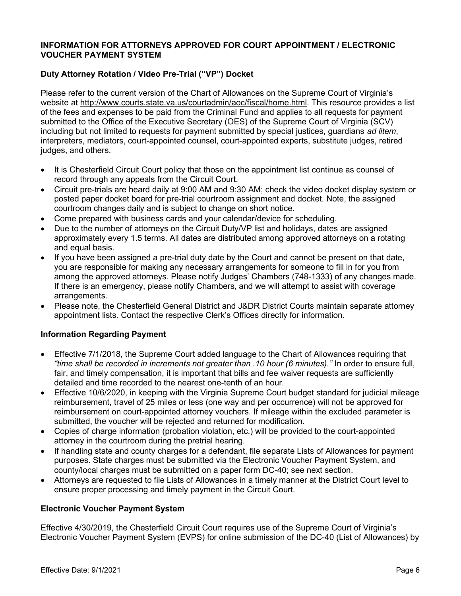## INFORMATION FOR ATTORNEYS APPROVED FOR COURT APPOINTMENT / ELECTRONIC VOUCHER PAYMENT SYSTEM

# Duty Attorney Rotation / Video Pre-Trial ("VP") Docket

Please refer to the current version of the Chart of Allowances on the Supreme Court of Virginia's website at http://www.courts.state.va.us/courtadmin/aoc/fiscal/home.html. This resource provides a list of the fees and expenses to be paid from the Criminal Fund and applies to all requests for payment submitted to the Office of the Executive Secretary (OES) of the Supreme Court of Virginia (SCV) including but not limited to requests for payment submitted by special justices, guardians ad litem, interpreters, mediators, court-appointed counsel, court-appointed experts, substitute judges, retired judges, and others.

- It is Chesterfield Circuit Court policy that those on the appointment list continue as counsel of record through any appeals from the Circuit Court.
- Circuit pre-trials are heard daily at 9:00 AM and 9:30 AM; check the video docket display system or posted paper docket board for pre-trial courtroom assignment and docket. Note, the assigned courtroom changes daily and is subject to change on short notice.
- Come prepared with business cards and your calendar/device for scheduling.
- Due to the number of attorneys on the Circuit Duty/VP list and holidays, dates are assigned approximately every 1.5 terms. All dates are distributed among approved attorneys on a rotating and equal basis.
- If you have been assigned a pre-trial duty date by the Court and cannot be present on that date, you are responsible for making any necessary arrangements for someone to fill in for you from among the approved attorneys. Please notify Judges' Chambers (748-1333) of any changes made. If there is an emergency, please notify Chambers, and we will attempt to assist with coverage arrangements.
- Please note, the Chesterfield General District and J&DR District Courts maintain separate attorney appointment lists. Contact the respective Clerk's Offices directly for information.

## Information Regarding Payment

- Effective 7/1/2018, the Supreme Court added language to the Chart of Allowances requiring that "time shall be recorded in increments not greater than .10 hour (6 minutes)." In order to ensure full, fair, and timely compensation, it is important that bills and fee waiver requests are sufficiently detailed and time recorded to the nearest one-tenth of an hour.
- Effective 10/6/2020, in keeping with the Virginia Supreme Court budget standard for judicial mileage reimbursement, travel of 25 miles or less (one way and per occurrence) will not be approved for reimbursement on court-appointed attorney vouchers. If mileage within the excluded parameter is submitted, the voucher will be rejected and returned for modification.
- Copies of charge information (probation violation, etc.) will be provided to the court-appointed attorney in the courtroom during the pretrial hearing.
- If handling state and county charges for a defendant, file separate Lists of Allowances for payment purposes. State charges must be submitted via the Electronic Voucher Payment System, and county/local charges must be submitted on a paper form DC-40; see next section.
- Attorneys are requested to file Lists of Allowances in a timely manner at the District Court level to ensure proper processing and timely payment in the Circuit Court.

## Electronic Voucher Payment System

Effective 4/30/2019, the Chesterfield Circuit Court requires use of the Supreme Court of Virginia's Electronic Voucher Payment System (EVPS) for online submission of the DC-40 (List of Allowances) by